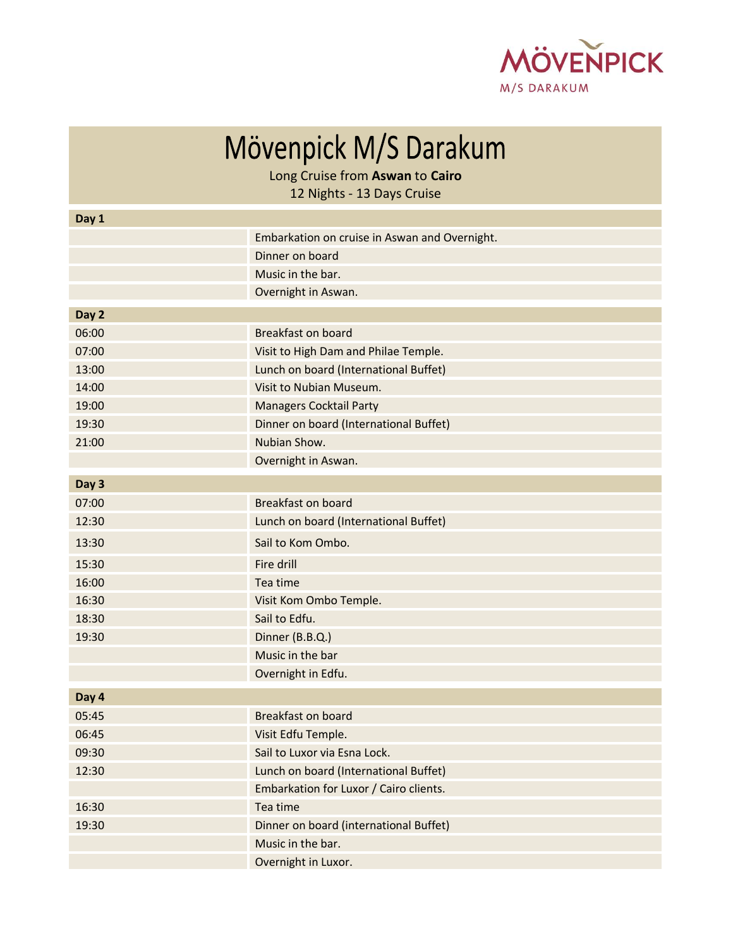

Mövenpick M/S Darakum

Long Cruise from **Aswan** to **Cairo**

12 Nights - 13 Days Cruise

| Day 1 |                                               |
|-------|-----------------------------------------------|
|       | Embarkation on cruise in Aswan and Overnight. |
|       | Dinner on board                               |
|       | Music in the bar.                             |
|       | Overnight in Aswan.                           |
| Day 2 |                                               |
| 06:00 | <b>Breakfast on board</b>                     |
| 07:00 | Visit to High Dam and Philae Temple.          |
| 13:00 | Lunch on board (International Buffet)         |
| 14:00 | Visit to Nubian Museum.                       |
| 19:00 | <b>Managers Cocktail Party</b>                |
| 19:30 | Dinner on board (International Buffet)        |
| 21:00 | Nubian Show.                                  |
|       | Overnight in Aswan.                           |
| Day 3 |                                               |
| 07:00 | <b>Breakfast on board</b>                     |
| 12:30 | Lunch on board (International Buffet)         |
| 13:30 | Sail to Kom Ombo.                             |
| 15:30 | Fire drill                                    |
| 16:00 | Tea time                                      |
| 16:30 | Visit Kom Ombo Temple.                        |
| 18:30 | Sail to Edfu.                                 |
| 19:30 | Dinner (B.B.Q.)                               |
|       | Music in the bar                              |
|       | Overnight in Edfu.                            |
| Day 4 |                                               |
| 05:45 | <b>Breakfast on board</b>                     |
| 06:45 | Visit Edfu Temple.                            |
| 09:30 | Sail to Luxor via Esna Lock.                  |
| 12:30 | Lunch on board (International Buffet)         |
|       | Embarkation for Luxor / Cairo clients.        |
| 16:30 | Tea time                                      |
| 19:30 | Dinner on board (international Buffet)        |
|       | Music in the bar.                             |
|       | Overnight in Luxor.                           |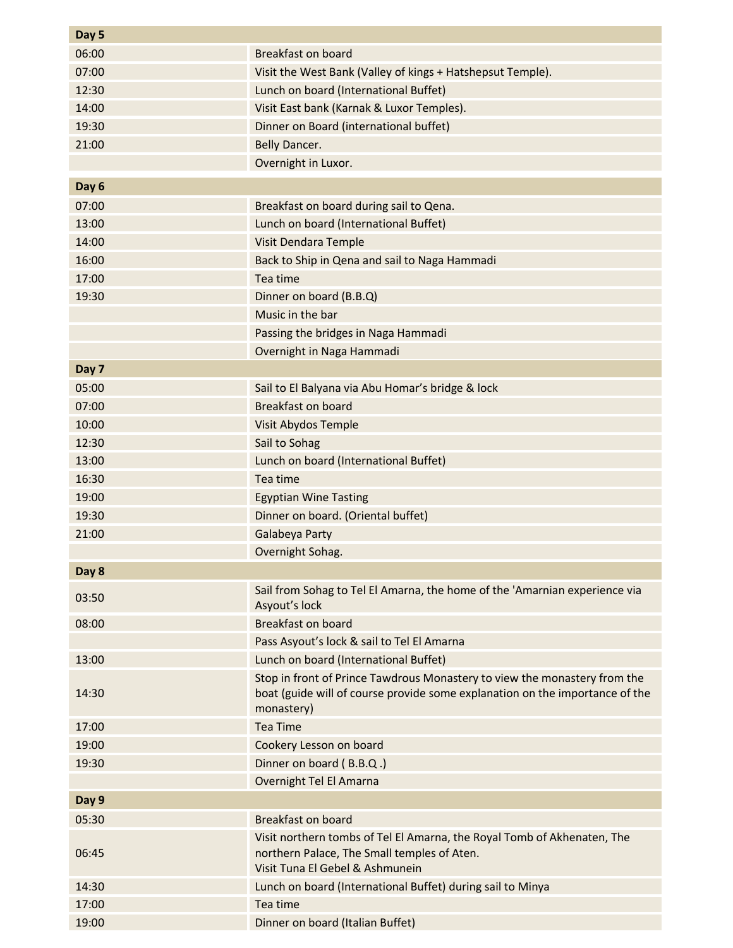| Day 5 |                                                                                                                                                                         |
|-------|-------------------------------------------------------------------------------------------------------------------------------------------------------------------------|
| 06:00 | <b>Breakfast on board</b>                                                                                                                                               |
| 07:00 | Visit the West Bank (Valley of kings + Hatshepsut Temple).                                                                                                              |
| 12:30 | Lunch on board (International Buffet)                                                                                                                                   |
| 14:00 | Visit East bank (Karnak & Luxor Temples).                                                                                                                               |
| 19:30 | Dinner on Board (international buffet)                                                                                                                                  |
| 21:00 | Belly Dancer.                                                                                                                                                           |
|       | Overnight in Luxor.                                                                                                                                                     |
| Day 6 |                                                                                                                                                                         |
| 07:00 |                                                                                                                                                                         |
| 13:00 | Breakfast on board during sail to Qena.                                                                                                                                 |
|       | Lunch on board (International Buffet)                                                                                                                                   |
| 14:00 | Visit Dendara Temple                                                                                                                                                    |
| 16:00 | Back to Ship in Qena and sail to Naga Hammadi                                                                                                                           |
| 17:00 | Tea time                                                                                                                                                                |
| 19:30 | Dinner on board (B.B.Q)                                                                                                                                                 |
|       | Music in the bar                                                                                                                                                        |
|       | Passing the bridges in Naga Hammadi                                                                                                                                     |
|       | Overnight in Naga Hammadi                                                                                                                                               |
| Day 7 |                                                                                                                                                                         |
| 05:00 | Sail to El Balyana via Abu Homar's bridge & lock                                                                                                                        |
| 07:00 | <b>Breakfast on board</b>                                                                                                                                               |
| 10:00 | Visit Abydos Temple                                                                                                                                                     |
| 12:30 | Sail to Sohag                                                                                                                                                           |
| 13:00 | Lunch on board (International Buffet)                                                                                                                                   |
| 16:30 | Tea time                                                                                                                                                                |
| 19:00 | <b>Egyptian Wine Tasting</b>                                                                                                                                            |
| 19:30 | Dinner on board. (Oriental buffet)                                                                                                                                      |
| 21:00 | Galabeya Party                                                                                                                                                          |
|       | Overnight Sohag.                                                                                                                                                        |
| Day 8 |                                                                                                                                                                         |
| 03:50 | Sail from Sohag to Tel El Amarna, the home of the 'Amarnian experience via<br>Asyout's lock                                                                             |
| 08:00 | <b>Breakfast on board</b>                                                                                                                                               |
|       | Pass Asyout's lock & sail to Tel El Amarna                                                                                                                              |
| 13:00 | Lunch on board (International Buffet)                                                                                                                                   |
| 14:30 | Stop in front of Prince Tawdrous Monastery to view the monastery from the<br>boat (guide will of course provide some explanation on the importance of the<br>monastery) |
| 17:00 | <b>Tea Time</b>                                                                                                                                                         |
| 19:00 | Cookery Lesson on board                                                                                                                                                 |
| 19:30 | Dinner on board (B.B.Q.)                                                                                                                                                |
|       | Overnight Tel El Amarna                                                                                                                                                 |
| Day 9 |                                                                                                                                                                         |
|       |                                                                                                                                                                         |
| 05:30 | Breakfast on board                                                                                                                                                      |
| 06:45 | Visit northern tombs of Tel El Amarna, the Royal Tomb of Akhenaten, The<br>northern Palace, The Small temples of Aten.<br>Visit Tuna El Gebel & Ashmunein               |
| 14:30 | Lunch on board (International Buffet) during sail to Minya                                                                                                              |
| 17:00 | Tea time                                                                                                                                                                |
| 19:00 | Dinner on board (Italian Buffet)                                                                                                                                        |